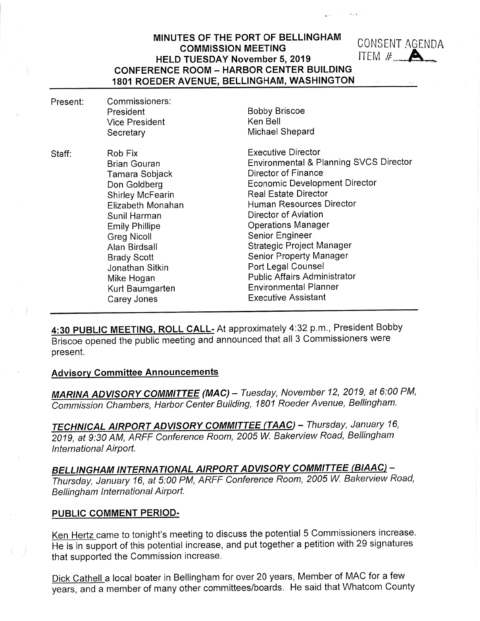4:30 PUBLIC MEETING, ROLL CALL- At approximately 4:32 p.m., President Bobby Briscoe opened the public meeting and announced that all 3 Commissioners were present.

#### Advisory Committee Announcements

MARINA ADVISORY COMMITTEE (MAC) - Tuesday, November 12, 2019, at 6:00 PM, Commission Chambers, Harbor Center Building, 1801 Roeder Avenue, Bellingham.

TECHNICAL AIRPORT ADVISORY COMMITTEE (TAAC) - Thursday, January 16, 2019, at 9:30 AM, ARFF Conference Room, 2005 W. Baken/iew Road, Bellingham International Airport.

BELLINGHAM INTERNATIONAL AIRPORT ADVISORY COMMITTEE (BIAAC) -Thursday, January 16, at 5:00 PM, ARFF Conference Room, 2005 W. Bakerview Road, Bellingham International Airport.

### PUBLIC COMMENT PERIOD-

Ken Hertz came to tonight's meeting to discuss the potential 5 Commissioners increase. He is in support of this potential increase, and put together a petition with 29 signatures that supported the Commission increase.

Dick Cathell a local boater in Bellingham for over 20 years, Member of MAC for a few years, and a member of many other committees/boards. He said that Whatcom County

### MINUTES OF THE PORT OF BELLINGHAM COMMISSION MEETING<br>COMMISSION MEETING THE THE THE THESPAY November 5, 2019 HELD TUESDAY November 5, 2019 CONFERENCE ROOM - HARBOR CENTER BUILDING 1801 ROEDER AVENUE, BELLINGHAM, WASHINGTON

| Present: | Commissioners:<br>President<br><b>Vice President</b><br>Secretary                                                                                                                                                                                                                  | <b>Bobby Briscoe</b><br>Ken Bell<br>Michael Shepard                                                                                                                                                                                                                                                                                                                                                                                                                    |
|----------|------------------------------------------------------------------------------------------------------------------------------------------------------------------------------------------------------------------------------------------------------------------------------------|------------------------------------------------------------------------------------------------------------------------------------------------------------------------------------------------------------------------------------------------------------------------------------------------------------------------------------------------------------------------------------------------------------------------------------------------------------------------|
| Staff:   | Rob Fix<br><b>Brian Gouran</b><br>Tamara Sobjack<br>Don Goldberg<br><b>Shirley McFearin</b><br>Elizabeth Monahan<br>Sunil Harman<br><b>Emily Phillipe</b><br>Greg Nicoll<br>Alan Birdsall<br><b>Brady Scott</b><br>Jonathan Sitkin<br>Mike Hogan<br>Kurt Baumgarten<br>Carey Jones | <b>Executive Director</b><br>Environmental & Planning SVCS Director<br>Director of Finance<br><b>Economic Development Director</b><br><b>Real Estate Director</b><br>Human Resources Director<br>Director of Aviation<br><b>Operations Manager</b><br>Senior Engineer<br><b>Strategic Project Manager</b><br><b>Senior Property Manager</b><br>Port Legal Counsel<br><b>Public Affairs Administrator</b><br><b>Environmental Planner</b><br><b>Executive Assistant</b> |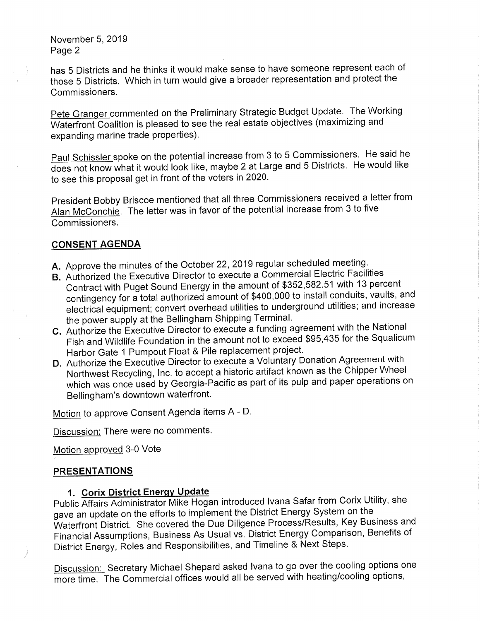has 5 Districts and he thinks it would make sense to have someone represent each of those 5 Districts. Which in turn would give a broader representation and protect the Commissioners.

Pete Granger commented on the Preliminary Strategic Budget Update. The Working Waterfront Coalition is pleased to see the real estate objectives (maximizing and expanding marine trade properties).

Paul Schissler spoke on the potential increase from 3 to 5 Commissioners. He said he does not know what it would look like, maybe 2 at Large and 5 Districts. He would like to see this proposal get in front of the voters in 2020.

President Bobby Briscoe mentioned that all three Commissioners received a letter from Alan McConchie. The letter was in favor of the potential increase from 3 to five Commissioners.

### CONSENT AGENDA

- A. Approve the minutes of the October 22, 2019 regular scheduled meeting.
- B. Authorized the Executive Director to execute a Commercial Electric Facilities Contract with Puget Sound Energy in the amount of \$352,582.51 with 13 percent contingency for a total authorized amount of \$400,000 to install conduits, vaults, and electrical equipment; convert overhead utilities to underground utilities; and increase the power supply at the Bellingham Shipping Terminal.
- C. Authorize the Executive Director to execute a funding agreement with the National Fish and Wildlife Foundation in the amount not to exceed \$95,435 for the Squalicum Harbor Gate 1 Pumpout Float & Pile replacement project.
- D. Authorize the Executive Director to execute a Voluntary Donation Agreement with Northwest Recycling, Inc. to accept a historic artifact known as the Chipper Wheel which was once used by Georgia-Pacific as part of its pulp and paper operations on Bellingham's downtown waterfront.

Motion to approve Consent Agenda items A - D.

Discussion: There were no comments.

Motion approved 3-0 Vote

## PRESENTATIONS

# 1. Corix District Energy Update

Public Affairs Administrator Mike Hogan introduced Ivana Safar from Corix Utility, she gave an update on the efforts to implement the District Energy System on the Waterfront District. She covered the Due Diligence Process/Results, Key Business and Financial Assumptions, Business As Usual vs. District Energy Comparison, Benefits of District Energy, Roles and Responsibilities, and Timeline & Next Steps.

Discussion: Secretary Michael Shepard asked Ivana to go over the cooling options one more time. The Commercial offices would all be served with heating/cooling options,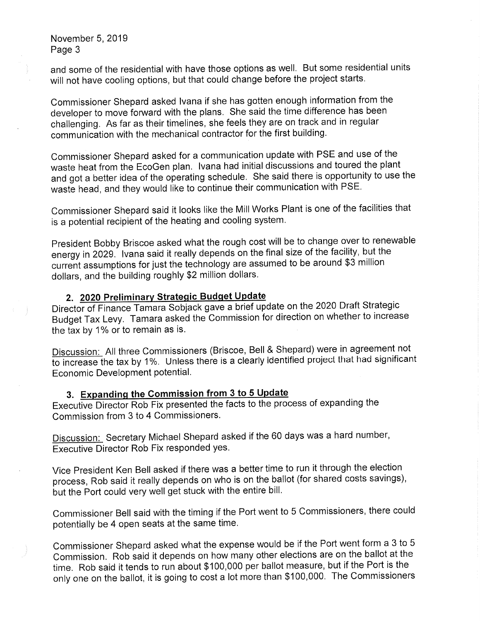and some of the residential with have those options as well. But some residential units will not have cooling options, but that could change before the project starts.

Commissioner Shepard asked Ivana if she has gotten enough information from the developer to move forward with the plans. She said the time difference has been challenging. As far as their timelines, she feels they are on track and in regular communication with the mechanical contractor for the first building.

Commissioner Shepard asked for a communication update with PSE and use of the waste heat from the EcoGen plan. Ivana had initial discussions and toured the plant and got a better idea of the operating schedule. She said there is opportunity to use the waste head, and they would like to continue their communication with PSE.

Commissioner Shepard said it looks like the Mill Works Plant is one of the facilities that is a potential recipient of the heating and cooling system.

President Bobby Briscoe asked what the rough cost will be to change over to renewable energy in 2029. Ivana said it really depends on the final size of the facility, but the current assumptions for just the technology are assumed to be around \$3 million dollars, and the building roughly \$2 million dollars.

# 2. 2020 Preliminary Strategic Budget Update

Director of Finance Tamara Sobjack gave a brief update on the 2020 Draft Strategic Budget Tax Levy. Tamara asked the Commission for direction on whether to increase the tax by 1% or to remain as is.

Discussion: All three Commissioners (Briscoe, Bell & Shepard) were in agreement not to increase the tax by 1%. Unless there is a clearly identified project that had significant Economic Development potential.

# 3. Expanding the Commission from 3 to 5 Update

Executive Director Rob Fix presented the facts to the process of expanding the Commission from 3 to 4 Commissioners.

Discussion: Secretary Michael Shepard asked if the 60 days was a hard number, Executive Director Rob Fix responded yes.

Vice President Ken Bell asked if there was a better time to run it through the election process, Rob said it really depends on who is on the ballot (for shared costs savings), but the Port could very well get stuck with the entire bill.

Commissioner Bell said with the timing if the Port went to 5 Commissioners, there could potentially be 4 open seats at the same time.

Commissioner Shepard asked what the expense would be if the Port went form a 3 to 5 Commission. Rob said it depends on how many other elections are on the ballot at the time. Rob said it tends to run about \$100,000 per ballot measure, but if the Port is the only one on the ballot, it is going to cost a lot more than \$100,000. The Commissioners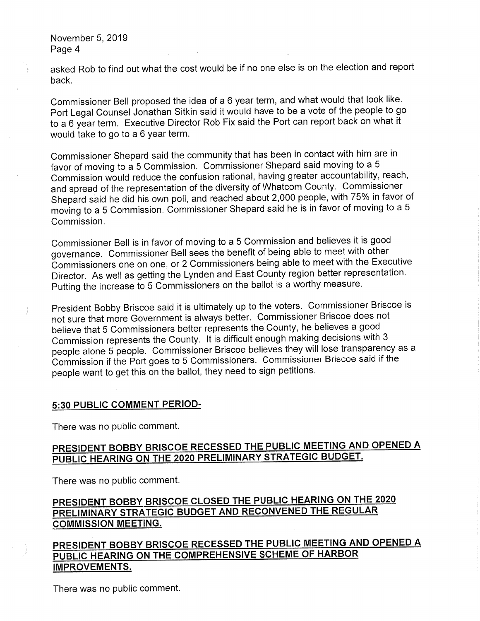asked Rob to find out what the cost would be if no one else is on the election and report back.

Commissioner Bell proposed the idea of a 6 year term, and what would that look like. Port Legal Counsel Jonathan Sitkin said it would have to be a vote of the people to go to a 6 year term. Executive Director Rob Fix said the Port can report back on what it would take to go to a 6 year term.

Commissioner Shepard said the community that has been in contact with him are in favor of moving to a 5 Commission. Commissioner Shepard said moving to a 5 Commission would reduce the confusion rational, having greater accountability, reach, and spread of the representation of the diversity ofWhatcom County. Commissioner Shepard said he did his own poll, and reached about 2,000 people, with 75% in favor of moving to a 5 Commission. Commissioner Shepard said he is in favor of moving to a 5 Commission.

Commissioner Bell is in favor of moving to a 5 Commission and believes it is good governance. Commissioner Bell sees the benefit of being able to meet with other Commissioners one on one, or 2 Commissioners being able to meet with the Executive Director. As well as getting the Lynden and East County region better representation. Putting the increase to 5 Commissioners on the ballot is a worthy measure.

President Bobby Briscoe said it is ultimately up to the voters. Commissioner Briscoe is not sure that more Government is always better. Commissioner Briscoe does not believe that 5 Commissioners better represents the County, he believes a good Commission represents the County. It is difficult enough making decisions with 3 people alone 5 people. Commissioner Briscoe believes they will lose transparency as a Commission if the Port goes to 5 Commissioners. Commissioner Briscoe said if the people want to get this on the ballot, they need to sign petitions.

## 5:30 PUBLIC COMMENT PERIOD-

There was no public comment.

# PRESIDENT BOBBY BRISCOE RECESSED THE PUBLIC MEETING AND OPENED A PUBLIC HEARING ON THE 2020 PRELIMINARY STRATEGIC BUDGET.

There was no public comment.

# PRESIDENT BOBBY BRISCOE CLOSED THE PUBLIC HEARING ON THE 2020 PRELIMINARY STRATEGIC BUDGET AND RECONVENED THE REGULAR COMMISSION MEETING.

PRESIDENT BOBBY BRISCOE RECESSED THE PUBLIC MEETING AND OPENED A PUBLIC HEARING ON THE COMPREHENSIVE SCHEME OF HARBOR IMPROVEMENTS.

There was no public comment.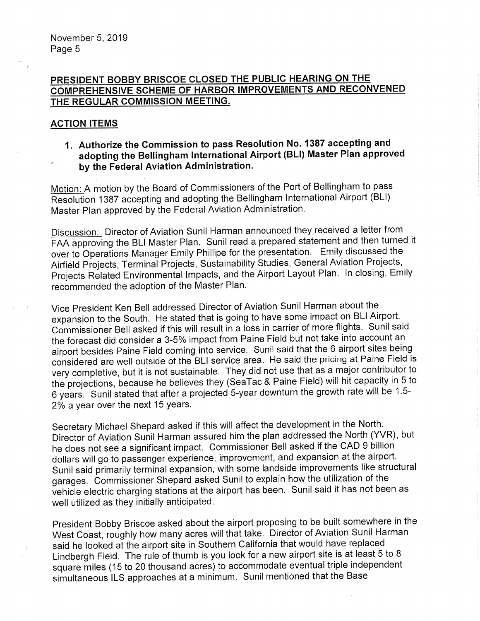## PRESIDENT BOBBY BRISCOE CLOSED THE PUBLIC HEARING ON THE COMPREHENSIVE SCHEME OF HARBOR IMPROVEMENTS AND RECONVENED THE REGULAR COMMISSION MEETING,

## **ACTION ITEMS**

1. Authorize the Commission to pass Resolution No. 1387 accepting and adopting the Bellingham International Airport (BLI) Master Plan approved by the Federal Aviation Administration.

Motion: A motion by the Board of Commissioners of the Port of Bellingham to pass Resolution 1387 accepting and adopting the Bellingham International Airport (BLI) Master Plan approved by the Federal Aviation Administration.

Discussion: Director of Aviation Sunil Harman announced they received a letter from FAA approving the BLI Master Plan. Sunil read a prepared statement and then turned it over to Operations Manager Emily Phillipe for the presentation. Emily discussed the Airfield Projects, Terminal Projects, Sustainability Studies, General Aviation Projects, Projects Related Environmental Impacts, and the Airport Layout Plan. In closing, Emily recommended the adoption of the Master Plan.

Vice President Ken Bell addressed Director of Aviation Sunil Harman about the expansion to the South. He stated that is going to have some impact on BLI Airport. Commissioner Bell asked if this will result in a loss in carrier of more flights. Sunil said the forecast did consider a 3-5% impact from Paine Field but not take into account an airport besides Paine Field coming into service. Sunil said that the 6 airport sites being considered are well outside of the BLI service area. He said the pricing at Paine Field is very completive, but it is not sustainable. They did not use that as a major contributor to the projections, because he believes they (SeaTac & Paine Field) will hit capacity in 5 to 6 years. Sunil stated that after a projected 5-year downturn the growth rate will be 1.5- 2% a year over the next 15 years.

Secretary Michael Shepard asked if this will affect the development in the North. Director of Aviation Sunil Harman assured him the plan addressed the North (YVR), but he does not see a significant impact. Commissioner Bell asked if the CAD 9 billion dollars will go to passenger experience, improvement, and expansion at the airport. Sunil said primarily terminal expansion, with some landside improvements like structural garages. Commissioner Shepard asked Sunil to explain how the utilization of the vehicle electric charging stations at the airport has been. Sunil said it has not been as well utilized as they initially anticipated.

President Bobby Briscoe asked about the airport proposing to be built somewhere in the West Coast, roughly how many acres will that take. Director of Aviation Sunil Harman said he looked at the airport site in Southern California that would have replaced Lindbergh Field. The rule of thumb is you look for a new airport site is at least 5 to 8 square miles (15 to 20 thousand acres) to accommodate eventual triple independent simultaneous ILS approaches at a minimum. Sunil mentioned that the Base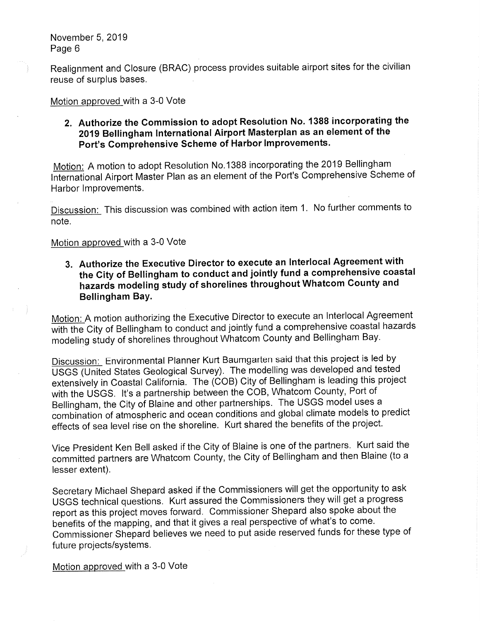Realignment and Closure (BRAC) process provides suitable airport sites for the civilian reuse of surplus bases.

Motion approved with a 3-0 Vote

## 2. Authorize the Commission to adopt Resolution No. 1388 incorporating the 2019 Bellingham International Airport Masterplan as an element of the Port's Comprehensive Scheme of Harbor Improvements.

Motion: A motion to adopt Resolution No. 1388 incorporating the 2019 Bellingham International Airport Master Plan as an element of the Port's Comprehensive Scheme of Harbor Improvements.

Discussion: This discussion was combined with action item 1. No further comments to note.

### Motion approved with a 3-0 Vote

3. Authorize the Executive Director to execute an Interlocal Agreement with the City of Bellingham to conduct and jointly fund a comprehensive coastal hazards modeling study of shorelines throughout Whatcom County and Bellingham Bay.

Motion: A motion authorizing the Executive Director to execute an Interlocal Agreement with the City of Bellingham to conduct and jointly fund a comprehensive coastal hazards modeling study of shorelines throughout Whatcom County and Bellingham Bay.

Discussion: Environmental Planner Kurt Baumgarten said that this project is led by USGS (United States Geological Survey). The modelling was developed and tested extensively in Coastal California. The (COB) City of Bellingham is leading this project with the USGS. It's a partnership between the COB, Whatcom County, Port of Bellingham, the City of Blaine and other partnerships. The USGS model uses a combination of atmospheric and ocean conditions and global climate models to predict effects of sea level rise on the shoreline. Kurt shared the benefits of the project.

Vice President Ken Bell asked if the City of Blaine is one of the partners. Kurt said the committed partners are Whatcom County, the City of Bellingham and then Blaine (to a lesser extent).

Secretary Michael Shepard asked if the Commissioners will get the opportunity to ask USGS technical questions. Kurt assured the Commissioners they will get a progress report as this project moves forward. Commissioner Shepard also spoke about the benefits of the mapping, and that it gives a real perspective of what's to come. Commissioner Shepard believes we need to put aside reserved funds for these type of future projects/systems.

Motion approved with a 3-0 Vote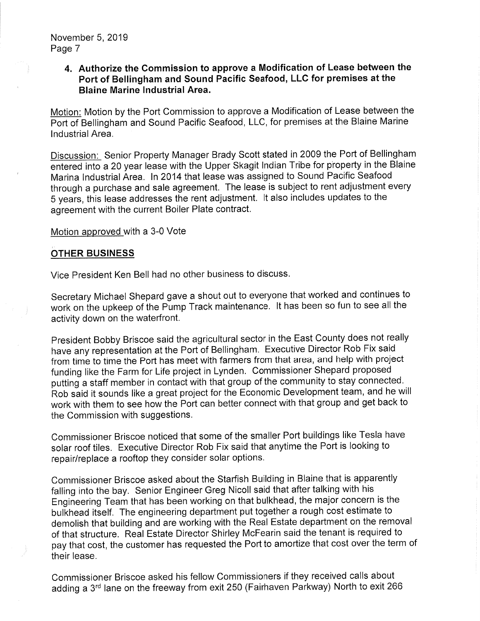## 4. Authorize the Commission to approve a Modification of Lease between the Port of Bellingham and Sound Pacific Seafood, LLC for premises at the Blaine Marine Industrial Area.

Motion: Motion by the Port Commission to approve a Modification of Lease between the Port of Bellingham and Sound Pacific Seafood, LLC, for premises at the Blaine Marine Industrial Area.

Discussion: Senior Property Manager Brady Scott stated in 2009 the Port of Bellingham entered into a 20 year lease with the Upper Skagit Indian Tribe for property in the Blaine Marina Industrial Area. In 2014 that lease was assigned to Sound Pacific Seafood through a purchase and sale agreement. The lease is subject to rent adjustment every 5 years, this lease addresses the rent adjustment. It also includes updates to the agreement with the current Boiler Plate contract.

Motion approved with a 3-0 Vote

#### OTHER BUSINESS

Vice President Ken Bell had no other business to discuss.

Secretary Michael Shepard gave a shout out to everyone that worked and continues to work on the upkeep of the Pump Track maintenance. It has been so fun to see all the activity down on the waterfront.

President Bobby Briscoe said the agricultural sector in the East County does not really have any representation at the Port of Bellingham. Executive Director Rob Fix said from time to time the Port has meet with farmers from that area, and help with project funding like the Farm for Life project in Lynden. Commissioner Shepard proposed putting a staff member in contact with that group of the community to stay connected. Rob said it sounds like a great project for the Economic Development team, and he will work with them to see how the Port can better connect with that group and get back to the Commission with suggestions.

Commissioner Briscoe noticed that some of the smaller Port buildings like Tesla have solar roof tiles. Executive Director Rob Fix said that anytime the Port is looking to repair/replace a rooftop they consider solar options.

Commissioner Briscoe asked about the Starfish Building in Blaine that is apparently falling into the bay. Senior Engineer Greg Nicoll said that after talking with his Engineering Team that has been working on that bulkhead, the major concern is the bulkhead itself. The engineering department put together a rough cost estimate to demolish that building and are working with the Real Estate department on the removal of that structure. Real Estate Director Shirley McFearin said the tenant is required to pay that cost, the customer has requested the Port to amortize that cost over the term of their lease.

Commissioner Briscoe asked his fellow Commissioners if they received calls about adding a 3rd lane on the freeway from exit 250 (Fairhaven Parkway) North to exit 266